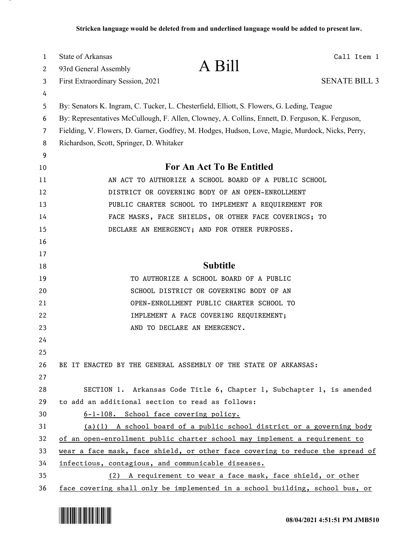| 1  | <b>State of Arkansas</b>                                                                         | Call Item 1          |  |  |  |  |  |  |  |  |  |
|----|--------------------------------------------------------------------------------------------------|----------------------|--|--|--|--|--|--|--|--|--|
| 2  | A Bill<br>93rd General Assembly                                                                  |                      |  |  |  |  |  |  |  |  |  |
| 3  | First Extraordinary Session, 2021                                                                | <b>SENATE BILL 3</b> |  |  |  |  |  |  |  |  |  |
| 4  |                                                                                                  |                      |  |  |  |  |  |  |  |  |  |
| 5  | By: Senators K. Ingram, C. Tucker, L. Chesterfield, Elliott, S. Flowers, G. Leding, Teague       |                      |  |  |  |  |  |  |  |  |  |
| 6  | By: Representatives McCullough, F. Allen, Clowney, A. Collins, Ennett, D. Ferguson, K. Ferguson, |                      |  |  |  |  |  |  |  |  |  |
| 7  | Fielding, V. Flowers, D. Garner, Godfrey, M. Hodges, Hudson, Love, Magie, Murdock, Nicks, Perry, |                      |  |  |  |  |  |  |  |  |  |
| 8  | Richardson, Scott, Springer, D. Whitaker                                                         |                      |  |  |  |  |  |  |  |  |  |
| 9  |                                                                                                  |                      |  |  |  |  |  |  |  |  |  |
| 10 | For An Act To Be Entitled                                                                        |                      |  |  |  |  |  |  |  |  |  |
| 11 | AN ACT TO AUTHORIZE A SCHOOL BOARD OF A PUBLIC SCHOOL                                            |                      |  |  |  |  |  |  |  |  |  |
| 12 | DISTRICT OR GOVERNING BODY OF AN OPEN-ENROLLMENT                                                 |                      |  |  |  |  |  |  |  |  |  |
| 13 | PUBLIC CHARTER SCHOOL TO IMPLEMENT A REQUIREMENT FOR                                             |                      |  |  |  |  |  |  |  |  |  |
| 14 | FACE MASKS, FACE SHIELDS, OR OTHER FACE COVERINGS; TO                                            |                      |  |  |  |  |  |  |  |  |  |
| 15 | DECLARE AN EMERGENCY; AND FOR OTHER PURPOSES.                                                    |                      |  |  |  |  |  |  |  |  |  |
| 16 |                                                                                                  |                      |  |  |  |  |  |  |  |  |  |
| 17 |                                                                                                  |                      |  |  |  |  |  |  |  |  |  |
| 18 | <b>Subtitle</b>                                                                                  |                      |  |  |  |  |  |  |  |  |  |
| 19 | TO AUTHORIZE A SCHOOL BOARD OF A PUBLIC                                                          |                      |  |  |  |  |  |  |  |  |  |
| 20 | SCHOOL DISTRICT OR GOVERNING BODY OF AN                                                          |                      |  |  |  |  |  |  |  |  |  |
| 21 | OPEN-ENROLLMENT PUBLIC CHARTER SCHOOL TO                                                         |                      |  |  |  |  |  |  |  |  |  |
| 22 | IMPLEMENT A FACE COVERING REQUIREMENT;                                                           |                      |  |  |  |  |  |  |  |  |  |
| 23 | AND TO DECLARE AN EMERGENCY.                                                                     |                      |  |  |  |  |  |  |  |  |  |
| 24 |                                                                                                  |                      |  |  |  |  |  |  |  |  |  |
| 25 |                                                                                                  |                      |  |  |  |  |  |  |  |  |  |
| 26 | BE IT ENACTED BY THE GENERAL ASSEMBLY OF THE STATE OF ARKANSAS:                                  |                      |  |  |  |  |  |  |  |  |  |
| 27 |                                                                                                  |                      |  |  |  |  |  |  |  |  |  |
| 28 | SECTION 1. Arkansas Code Title 6, Chapter 1, Subchapter 1, is amended                            |                      |  |  |  |  |  |  |  |  |  |
| 29 | to add an additional section to read as follows:                                                 |                      |  |  |  |  |  |  |  |  |  |
| 30 | 6-1-108. School face covering policy.                                                            |                      |  |  |  |  |  |  |  |  |  |
| 31 | $(a)(1)$ A school board of a public school district or a governing body                          |                      |  |  |  |  |  |  |  |  |  |
| 32 | of an open-enrollment public charter school may implement a requirement to                       |                      |  |  |  |  |  |  |  |  |  |
| 33 | wear a face mask, face shield, or other face covering to reduce the spread of                    |                      |  |  |  |  |  |  |  |  |  |
| 34 | infectious, contagious, and communicable diseases.                                               |                      |  |  |  |  |  |  |  |  |  |
| 35 | (2) A requirement to wear a face mask, face shield, or other                                     |                      |  |  |  |  |  |  |  |  |  |
| 36 | face covering shall only be implemented in a school building, school bus, or                     |                      |  |  |  |  |  |  |  |  |  |

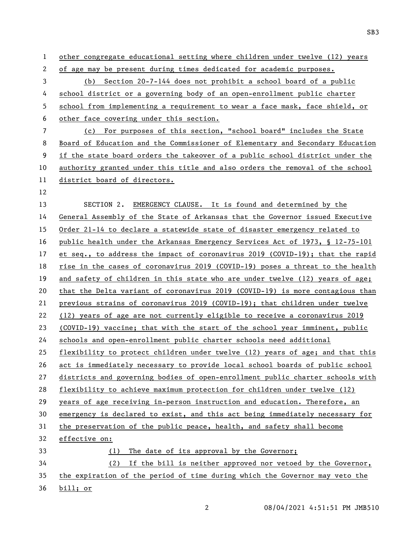other congregate educational setting where children under twelve (12) years of age may be present during times dedicated for academic purposes. (b) Section 20-7-144 does not prohibit a school board of a public school district or a governing body of an open-enrollment public charter school from implementing a requirement to wear a face mask, face shield, or other face covering under this section. (c) For purposes of this section, "school board" includes the State Board of Education and the Commissioner of Elementary and Secondary Education if the state board orders the takeover of a public school district under the authority granted under this title and also orders the removal of the school district board of directors. SECTION 2. EMERGENCY CLAUSE. It is found and determined by the General Assembly of the State of Arkansas that the Governor issued Executive Order 21-14 to declare a statewide state of disaster emergency related to 16 public health under the Arkansas Emergency Services Act of 1973, § 12-75-101 et seq., to address the impact of coronavirus 2019 (COVID-19); that the rapid rise in the cases of coronavirus 2019 (COVID-19) poses a threat to the health and safety of children in this state who are under twelve (12) years of age; that the Delta variant of coronavirus 2019 (COVID-19) is more contagious than previous strains of coronavirus 2019 (COVID-19); that children under twelve (12) years of age are not currently eligible to receive a coronavirus 2019 (COVID-19) vaccine; that with the start of the school year imminent, public schools and open-enrollment public charter schools need additional flexibility to protect children under twelve (12) years of age; and that this act is immediately necessary to provide local school boards of public school districts and governing bodies of open-enrollment public charter schools with flexibility to achieve maximum protection for children under twelve (12) years of age receiving in-person instruction and education. Therefore, an emergency is declared to exist, and this act being immediately necessary for the preservation of the public peace, health, and safety shall become effective on: (1) The date of its approval by the Governor; (2) If the bill is neither approved nor vetoed by the Governor, the expiration of the period of time during which the Governor may veto the bill; or

SB3